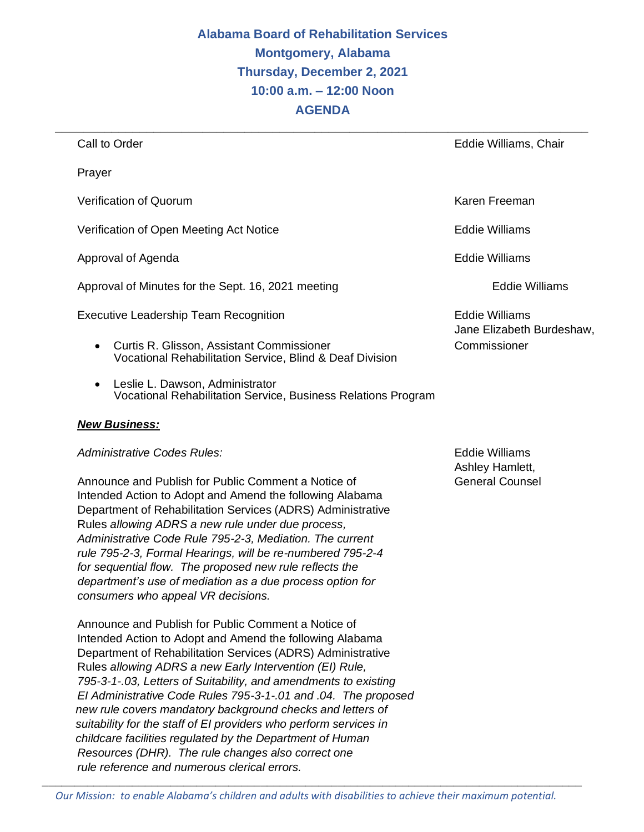# **Alabama Board of Rehabilitation Services Montgomery, Alabama Thursday, December 2, 2021 10:00 a.m. – 12:00 Noon AGENDA**

| Call to Order                                                                                                             | Eddie Williams, Chair                       |
|---------------------------------------------------------------------------------------------------------------------------|---------------------------------------------|
| Prayer                                                                                                                    |                                             |
| Verification of Quorum                                                                                                    | Karen Freeman                               |
| Verification of Open Meeting Act Notice                                                                                   | Eddie Williams                              |
| Approval of Agenda                                                                                                        | Eddie Williams                              |
| Approval of Minutes for the Sept. 16, 2021 meeting                                                                        | Eddie Williams                              |
| <b>Executive Leadership Team Recognition</b>                                                                              | Eddie Williams<br>Jane Elizabeth Burdeshaw, |
| <b>Curtis R. Glisson, Assistant Commissioner</b><br>$\bullet$<br>Vocational Rehabilitation Service, Blind & Deaf Division | Commissioner                                |

• Leslie L. Dawson, Administrator Vocational Rehabilitation Service, Business Relations Program

#### *New Business:*

*Administrative Codes Rules:* Eddie Williams

Announce and Publish for Public Comment a Notice of General Counsel Intended Action to Adopt and Amend the following Alabama Department of Rehabilitation Services (ADRS) Administrative Rules *allowing ADRS a new rule under due process, Administrative Code Rule 795-2-3, Mediation. The current rule 795-2-3, Formal Hearings, will be re-numbered 795-2-4 for sequential flow. The proposed new rule reflects the department's use of mediation as a due process option for consumers who appeal VR decisions.* 

Announce and Publish for Public Comment a Notice of Intended Action to Adopt and Amend the following Alabama Department of Rehabilitation Services (ADRS) Administrative Rules *allowing ADRS a new Early Intervention (EI) Rule, 795-3-1-.03, Letters of Suitability, and amendments to existing EI Administrative Code Rules 795-3-1-.01 and .04. The proposed new rule covers mandatory background checks and letters of suitability for the staff of EI providers who perform services in childcare facilities regulated by the Department of Human Resources (DHR). The rule changes also correct one rule reference and numerous clerical errors.* 

Ashley Hamlett,

*\_\_\_\_\_\_\_\_\_\_\_\_\_\_\_\_\_\_\_\_\_\_\_\_\_\_\_\_\_\_\_\_\_\_\_\_\_\_\_\_\_\_\_\_\_\_\_\_\_\_\_\_\_\_\_\_\_\_\_\_\_\_\_\_\_\_\_\_\_\_\_\_\_\_\_\_\_\_\_\_\_\_\_\_*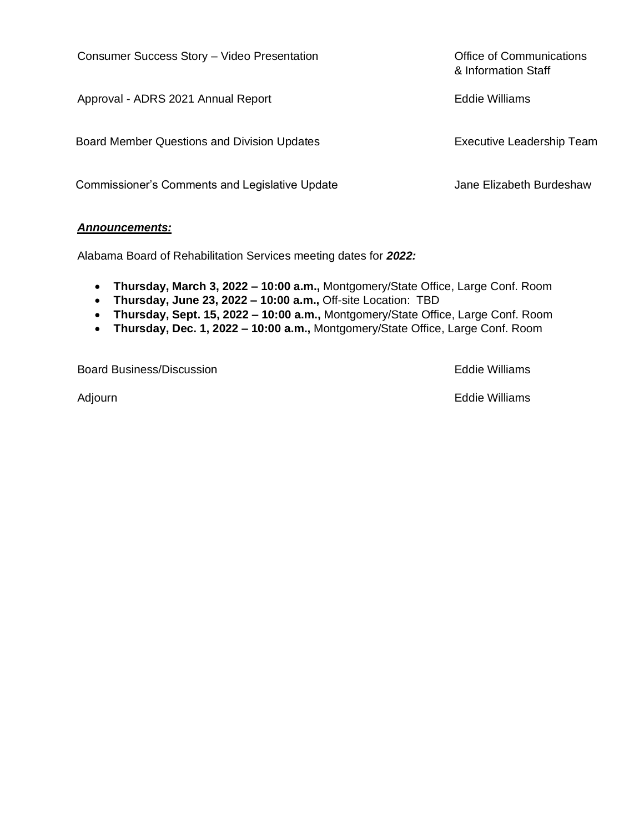Consumer Success Story – Video Presentation **Consumer Success Story – Video Presentation** 

Approval - ADRS 2021 Annual Report **Eddie Williams** 

Board Member Questions and Division Updates **Executive Leadership Team** 

Commissioner's Comments and Legislative Update **Jane Elizabeth Burdeshaw** 

#### *Announcements:*

Alabama Board of Rehabilitation Services meeting dates for *2022:*

- **Thursday, March 3, 2022 – 10:00 a.m.,** Montgomery/State Office, Large Conf. Room
- **Thursday, June 23, 2022 – 10:00 a.m.,** Off-site Location: TBD
- **Thursday, Sept. 15, 2022 – 10:00 a.m.,** Montgomery/State Office, Large Conf. Room
- **Thursday, Dec. 1, 2022 – 10:00 a.m.,** Montgomery/State Office, Large Conf. Room

Board Business/Discussion Eddie Williams

Adjourn **Eddie Williams** 

& Information Staff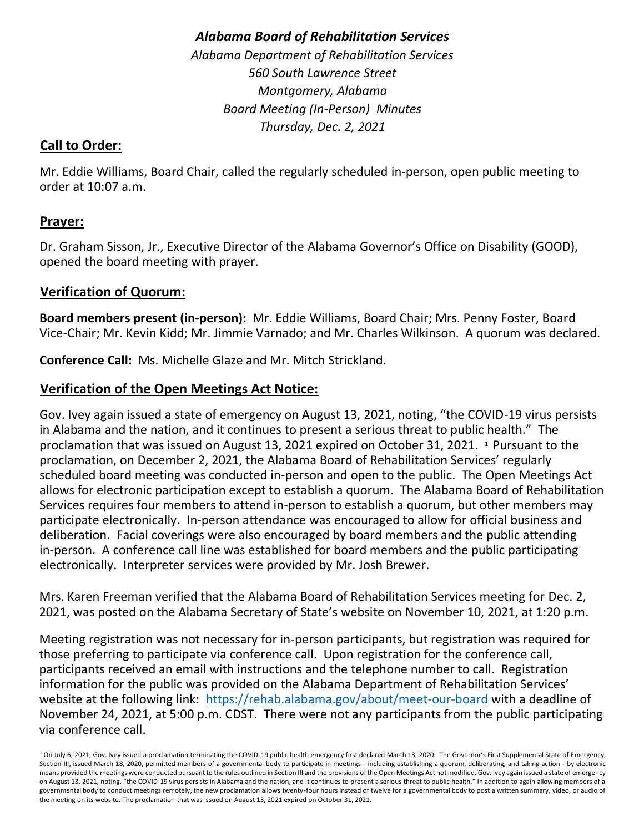# *Alabama Board of Rehabilitation Services*

*Alabama Department of Rehabilitation Services 560 South Lawrence Street Montgomery, Alabama Board Meeting (In-Person) Minutes Thursday, Dec. 2, 2021* 

# **Call to Order:**

Mr. Eddie Williams, Board Chair, called the regularly scheduled in-person, open public meeting to order at 10:07 a.m.

## **Prayer:**

Dr. Graham Sisson, Jr., Executive Director of the Alabama Governor's Office on Disability (GOOD), opened the board meeting with prayer.

# **Verification of Quorum:**

**Board members present (in-person):** Mr. Eddie Williams, Board Chair; Mrs. Penny Foster, Board Vice-Chair; Mr. Kevin Kidd; Mr. Jimmie Varnado; and Mr. Charles Wilkinson. A quorum was declared.

**Conference Call:** Ms. Michelle Glaze and Mr. Mitch Strickland.

# **Verification of the Open Meetings Act Notice:**

Gov. Ivey again issued a state of emergency on August 13, 2021, noting, "the COVID-19 virus persists in Alabama and the nation, and it continues to present a serious threat to public health." The proclamation that was issued on August 13, 2021 expired on October 31, 2021. <sup>1</sup> Pursuant to the proclamation, on December 2, 2021, the Alabama Board of Rehabilitation Services' regularly scheduled board meeting was conducted in-person and open to the public. The Open Meetings Act allows for electronic participation except to establish a quorum. The Alabama Board of Rehabilitation Services requires four members to attend in-person to establish a quorum, but other members may participate electronically. In-person attendance was encouraged to allow for official business and deliberation. Facial coverings were also encouraged by board members and the public attending in-person. A conference call line was established for board members and the public participating electronically. Interpreter services were provided by Mr. Josh Brewer.

Mrs. Karen Freeman verified that the Alabama Board of Rehabilitation Services meeting for Dec. 2, 2021, was posted on the Alabama Secretary of State's website on November 10, 2021, at 1:20 p.m.

Meeting registration was not necessary for in-person participants, but registration was required for those preferring to participate via conference call. Upon registration for the conference call, participants received an email with instructions and the telephone number to call. Registration information for the public was provided on the Alabama Department of Rehabilitation Services' website at the following link: <https://rehab.alabama.gov/about/meet-our-board> with a deadline of November 24, 2021, at 5:00 p.m. CDST. There were not any participants from the public participating via conference call.

<sup>&</sup>lt;sup>1</sup> On July 6, 2021, Gov. Ivey issued a proclamation terminating the COVID-19 public health emergency first declared March 13, 2020. The Governor's First Supplemental State of Emergency, Section III, issued March 18, 2020, permitted members of a governmental body to participate in meetings - including establishing a quorum, deliberating, and taking action - by electronic means provided the meetings were conducted pursuant to the rules outlined in Section III and the provisions of the Open Meetings Act not modified. Gov. Ivey again issued a state of emergency on August 13, 2021, noting, "the COVID-19 virus persists in Alabama and the nation, and it continues to present a serious threat to public health." In addition to again allowing members of a governmental body to conduct meetings remotely, the new proclamation allows twenty-four hours instead of twelve for a governmental body to post a written summary, video, or audio of the meeting on its website. The proclamation that was issued on August 13, 2021 expired on October 31, 2021.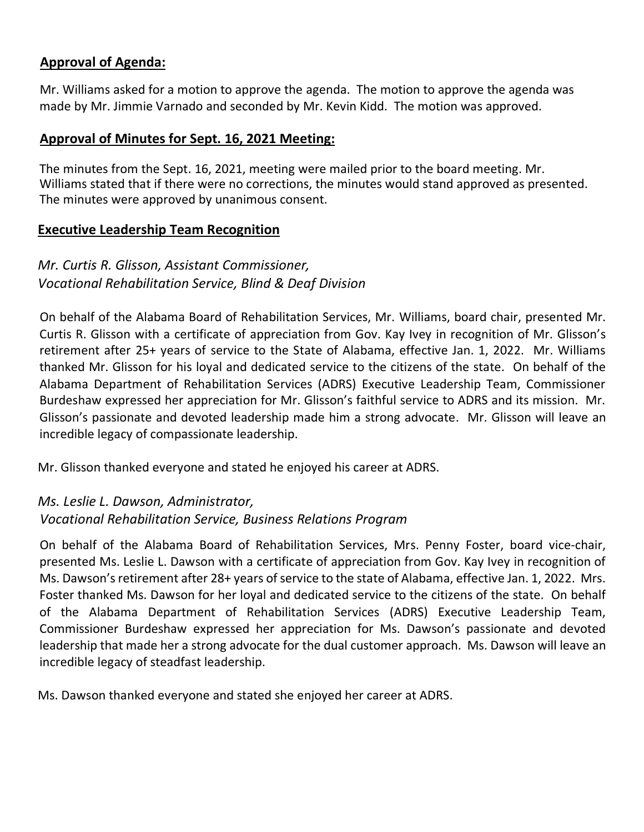# **Approval of Agenda:**

Mr. Williams asked for a motion to approve the agenda. The motion to approve the agenda was made by Mr. Jimmie Varnado and seconded by Mr. Kevin Kidd. The motion was approved.

#### **Approval of Minutes for Sept. 16, 2021 Meeting:**

The minutes from the Sept. 16, 2021, meeting were mailed prior to the board meeting. Mr. Williams stated that if there were no corrections, the minutes would stand approved as presented. The minutes were approved by unanimous consent.

#### **Executive Leadership Team Recognition**

# *Mr. Curtis R. Glisson, Assistant Commissioner, Vocational Rehabilitation Service, Blind & Deaf Division*

On behalf of the Alabama Board of Rehabilitation Services, Mr. Williams, board chair, presented Mr. Curtis R. Glisson with a certificate of appreciation from Gov. Kay Ivey in recognition of Mr. Glisson's retirement after 25+ years of service to the State of Alabama, effective Jan. 1, 2022. Mr. Williams thanked Mr. Glisson for his loyal and dedicated service to the citizens of the state. On behalf of the Alabama Department of Rehabilitation Services (ADRS) Executive Leadership Team, Commissioner Burdeshaw expressed her appreciation for Mr. Glisson's faithful service to ADRS and its mission. Mr. Glisson's passionate and devoted leadership made him a strong advocate. Mr. Glisson will leave an incredible legacy of compassionate leadership.

Mr. Glisson thanked everyone and stated he enjoyed his career at ADRS.

# *Ms. Leslie L. Dawson, Administrator, Vocational Rehabilitation Service, Business Relations Program*

On behalf of the Alabama Board of Rehabilitation Services, Mrs. Penny Foster, board vice-chair, presented Ms. Leslie L. Dawson with a certificate of appreciation from Gov. Kay Ivey in recognition of Ms. Dawson's retirement after 28+ years of service to the state of Alabama, effective Jan. 1, 2022. Mrs. Foster thanked Ms. Dawson for her loyal and dedicated service to the citizens of the state. On behalf of the Alabama Department of Rehabilitation Services (ADRS) Executive Leadership Team, Commissioner Burdeshaw expressed her appreciation for Ms. Dawson's passionate and devoted leadership that made her a strong advocate for the dual customer approach. Ms. Dawson will leave an incredible legacy of steadfast leadership.

Ms. Dawson thanked everyone and stated she enjoyed her career at ADRS.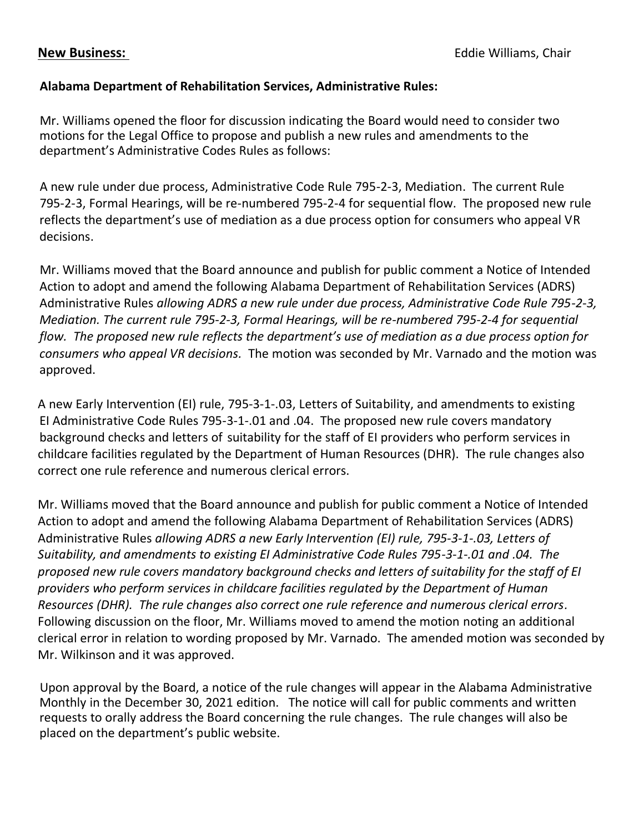#### **Alabama Department of Rehabilitation Services, Administrative Rules:**

Mr. Williams opened the floor for discussion indicating the Board would need to consider two motions for the Legal Office to propose and publish a new rules and amendments to the department's Administrative Codes Rules as follows:

A new rule under due process, Administrative Code Rule 795-2-3, Mediation. The current Rule 795-2-3, Formal Hearings, will be re-numbered 795-2-4 for sequential flow. The proposed new rule reflects the department's use of mediation as a due process option for consumers who appeal VR decisions.

Mr. Williams moved that the Board announce and publish for public comment a Notice of Intended Action to adopt and amend the following Alabama Department of Rehabilitation Services (ADRS) Administrative Rules *allowing ADRS a new rule under due process, Administrative Code Rule 795-2-3, Mediation. The current rule 795-2-3, Formal Hearings, will be re-numbered 795-2-4 for sequential flow. The proposed new rule reflects the department's use of mediation as a due process option for consumers who appeal VR decisions.* The motion was seconded by Mr. Varnado and the motion was approved.

A new Early Intervention (EI) rule, 795-3-1-.03, Letters of Suitability, and amendments to existing EI Administrative Code Rules 795-3-1-.01 and .04. The proposed new rule covers mandatory background checks and letters of suitability for the staff of EI providers who perform services in childcare facilities regulated by the Department of Human Resources (DHR). The rule changes also correct one rule reference and numerous clerical errors.

Mr. Williams moved that the Board announce and publish for public comment a Notice of Intended Action to adopt and amend the following Alabama Department of Rehabilitation Services (ADRS) Administrative Rules *allowing ADRS a new Early Intervention (EI) rule, 795-3-1-.03, Letters of Suitability, and amendments to existing EI Administrative Code Rules 795-3-1-.01 and .04. The proposed new rule covers mandatory background checks and letters of suitability for the staff of EI providers who perform services in childcare facilities regulated by the Department of Human Resources (DHR). The rule changes also correct one rule reference and numerous clerical errors.* Following discussion on the floor, Mr. Williams moved to amend the motion noting an additional clerical error in relation to wording proposed by Mr. Varnado. The amended motion was seconded by Mr. Wilkinson and it was approved.

Upon approval by the Board, a notice of the rule changes will appear in the Alabama Administrative Monthly in the December 30, 2021 edition. The notice will call for public comments and written requests to orally address the Board concerning the rule changes. The rule changes will also be placed on the department's public website.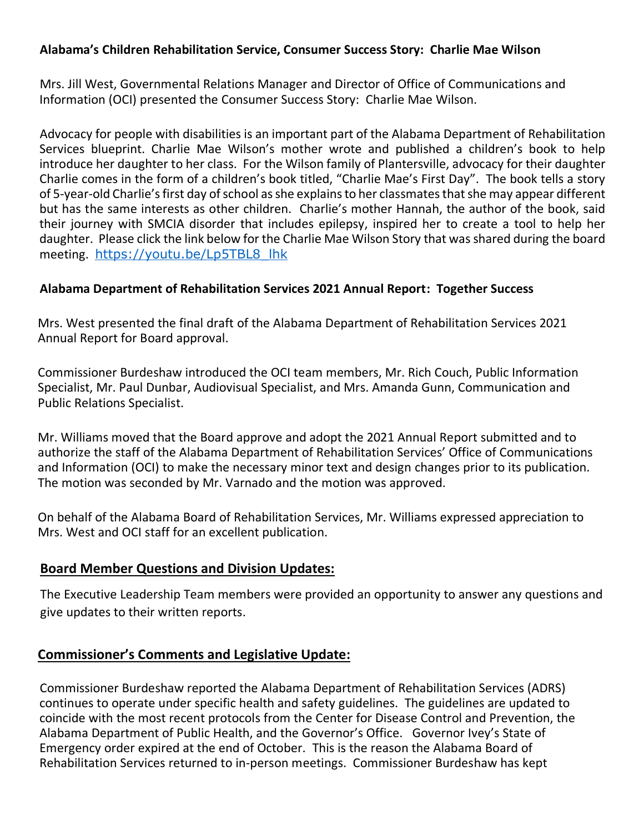#### **Alabama's Children Rehabilitation Service, Consumer Success Story: Charlie Mae Wilson**

Mrs. Jill West, Governmental Relations Manager and Director of Office of Communications and Information (OCI) presented the Consumer Success Story: Charlie Mae Wilson.

Advocacy for people with disabilities is an important part of the Alabama Department of Rehabilitation Services blueprint. Charlie Mae Wilson's mother wrote and published a children's book to help introduce her daughter to her class. For the Wilson family of Plantersville, advocacy for their daughter Charlie comes in the form of a children's book titled, "Charlie Mae's First Day". The book tells a story of 5-year-old Charlie's first day of school as she explains to her classmates that she may appear different but has the same interests as other children. Charlie's mother Hannah, the author of the book, said their journey with SMCIA disorder that includes epilepsy, inspired her to create a tool to help her daughter. Please click the link below for the Charlie Mae Wilson Story that was shared during the board meeting. [https://youtu.be/Lp5TBL8\\_lhk](https://youtu.be/Lp5TBL8_lhk)

#### **Alabama Department of Rehabilitation Services 2021 Annual Report: Together Success**

Mrs. West presented the final draft of the Alabama Department of Rehabilitation Services 2021 Annual Report for Board approval.

Commissioner Burdeshaw introduced the OCI team members, Mr. Rich Couch, Public Information Specialist, Mr. Paul Dunbar, Audiovisual Specialist, and Mrs. Amanda Gunn, Communication and Public Relations Specialist.

Mr. Williams moved that the Board approve and adopt the 2021 Annual Report submitted and to authorize the staff of the Alabama Department of Rehabilitation Services' Office of Communications and Information (OCI) to make the necessary minor text and design changes prior to its publication. The motion was seconded by Mr. Varnado and the motion was approved.

On behalf of the Alabama Board of Rehabilitation Services, Mr. Williams expressed appreciation to Mrs. West and OCI staff for an excellent publication.

#### **Board Member Questions and Division Updates:**

The Executive Leadership Team members were provided an opportunity to answer any questions and give updates to their written reports.

## **Commissioner's Comments and Legislative Update:**

Commissioner Burdeshaw reported the Alabama Department of Rehabilitation Services (ADRS) continues to operate under specific health and safety guidelines. The guidelines are updated to coincide with the most recent protocols from the Center for Disease Control and Prevention, the Alabama Department of Public Health, and the Governor's Office. Governor Ivey's State of Emergency order expired at the end of October. This is the reason the Alabama Board of Rehabilitation Services returned to in-person meetings. Commissioner Burdeshaw has kept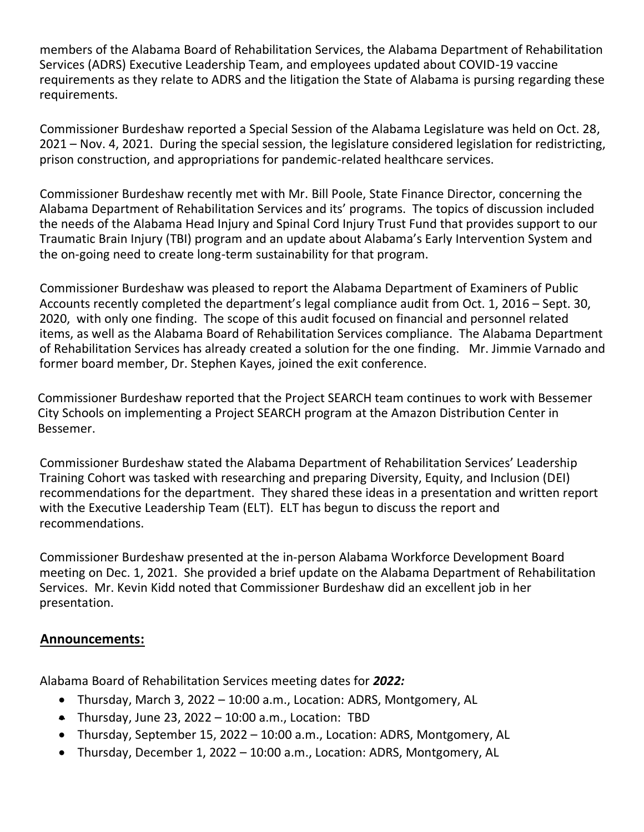members of the Alabama Board of Rehabilitation Services, the Alabama Department of Rehabilitation Services (ADRS) Executive Leadership Team, and employees updated about COVID-19 vaccine requirements as they relate to ADRS and the litigation the State of Alabama is pursing regarding these requirements.

Commissioner Burdeshaw reported a Special Session of the Alabama Legislature was held on Oct. 28, 2021 – Nov. 4, 2021. During the special session, the legislature considered legislation for redistricting, prison construction, and appropriations for pandemic-related healthcare services.

Commissioner Burdeshaw recently met with Mr. Bill Poole, State Finance Director, concerning the Alabama Department of Rehabilitation Services and its' programs. The topics of discussion included the needs of the Alabama Head Injury and Spinal Cord Injury Trust Fund that provides support to our Traumatic Brain Injury (TBI) program and an update about Alabama's Early Intervention System and the on-going need to create long-term sustainability for that program.

Commissioner Burdeshaw was pleased to report the Alabama Department of Examiners of Public Accounts recently completed the department's legal compliance audit from Oct. 1, 2016 – Sept. 30, 2020, with only one finding. The scope of this audit focused on financial and personnel related items, as well as the Alabama Board of Rehabilitation Services compliance. The Alabama Department of Rehabilitation Services has already created a solution for the one finding. Mr. Jimmie Varnado and former board member, Dr. Stephen Kayes, joined the exit conference.

Commissioner Burdeshaw reported that the Project SEARCH team continues to work with Bessemer City Schools on implementing a Project SEARCH program at the Amazon Distribution Center in Bessemer.

Commissioner Burdeshaw stated the Alabama Department of Rehabilitation Services' Leadership Training Cohort was tasked with researching and preparing Diversity, Equity, and Inclusion (DEI) recommendations for the department. They shared these ideas in a presentation and written report with the Executive Leadership Team (ELT). ELT has begun to discuss the report and recommendations.

Commissioner Burdeshaw presented at the in-person Alabama Workforce Development Board meeting on Dec. 1, 2021. She provided a brief update on the Alabama Department of Rehabilitation Services. Mr. Kevin Kidd noted that Commissioner Burdeshaw did an excellent job in her presentation.

## **Announcements:**

Alabama Board of Rehabilitation Services meeting dates for *2022:*

- Thursday, March 3, 2022 10:00 a.m., Location: ADRS, Montgomery, AL
- Thursday, June 23, 2022 10:00 a.m., Location: TBD
- Thursday, September 15, 2022 10:00 a.m., Location: ADRS, Montgomery, AL
- Thursday, December 1, 2022 10:00 a.m., Location: ADRS, Montgomery, AL